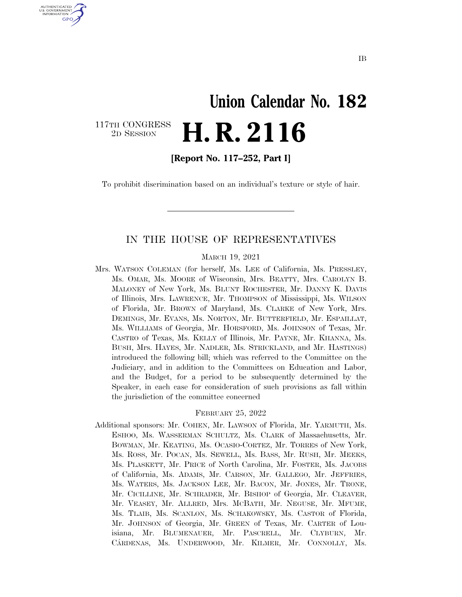# **Union Calendar No. 182**  117TH CONGRESS<br>2D SESSION 2D SESSION **H. R. 2116**

U.S. GOVERNMENT GPO

**[Report No. 117–252, Part I]** 

To prohibit discrimination based on an individual's texture or style of hair.

## IN THE HOUSE OF REPRESENTATIVES

MARCH 19, 2021

Mrs. WATSON COLEMAN (for herself, Ms. LEE of California, Ms. PRESSLEY, Ms. OMAR, Ms. MOORE of Wisconsin, Mrs. BEATTY, Mrs. CAROLYN B. MALONEY of New York, Ms. BLUNT ROCHESTER, Mr. DANNY K. DAVIS of Illinois, Mrs. LAWRENCE, Mr. THOMPSON of Mississippi, Ms. WILSON of Florida, Mr. BROWN of Maryland, Ms. CLARKE of New York, Mrs. DEMINGS, Mr. EVANS, Ms. NORTON, Mr. BUTTERFIELD, Mr. ESPAILLAT, Ms. WILLIAMS of Georgia, Mr. HORSFORD, Ms. JOHNSON of Texas, Mr. CASTRO of Texas, Ms. KELLY of Illinois, Mr. PAYNE, Mr. KHANNA, Ms. BUSH, Mrs. HAYES, Mr. NADLER, Ms. STRICKLAND, and Mr. HASTINGS) introduced the following bill; which was referred to the Committee on the Judiciary, and in addition to the Committees on Education and Labor, and the Budget, for a period to be subsequently determined by the Speaker, in each case for consideration of such provisions as fall within the jurisdiction of the committee concerned

#### FEBRUARY 25, 2022

Additional sponsors: Mr. COHEN, Mr. LAWSON of Florida, Mr. YARMUTH, Ms. ESHOO, Ms. WASSERMAN SCHULTZ, Ms. CLARK of Massachusetts, Mr. BOWMAN, Mr. KEATING, Ms. OCASIO-CORTEZ, Mr. TORRES of New York, Ms. ROSS, Mr. POCAN, Ms. SEWELL, Ms. BASS, Mr. RUSH, Mr. MEEKS, Ms. PLASKETT, Mr. PRICE of North Carolina, Mr. FOSTER, Ms. JACOBS of California, Ms. ADAMS, Mr. CARSON, Mr. GALLEGO, Mr. JEFFRIES, Ms. WATERS, Ms. JACKSON LEE, Mr. BACON, Mr. JONES, Mr. TRONE, Mr. CICILLINE, Mr. SCHRADER, Mr. BISHOP of Georgia, Mr. CLEAVER, Mr. VEASEY, Mr. ALLRED, Mrs. MCBATH, Mr. NEGUSE, Mr. MFUME, Ms. TLAIB, Ms. SCANLON, Ms. SCHAKOWSKY, Ms. CASTOR of Florida, Mr. JOHNSON of Georgia, Mr. GREEN of Texas, Mr. CARTER of Louisiana, Mr. BLUMENAUER, Mr. PASCRELL, Mr. CLYBURN, Mr. CÁRDENAS, Ms. UNDERWOOD, Mr. KILMER, Mr. CONNOLLY, Ms.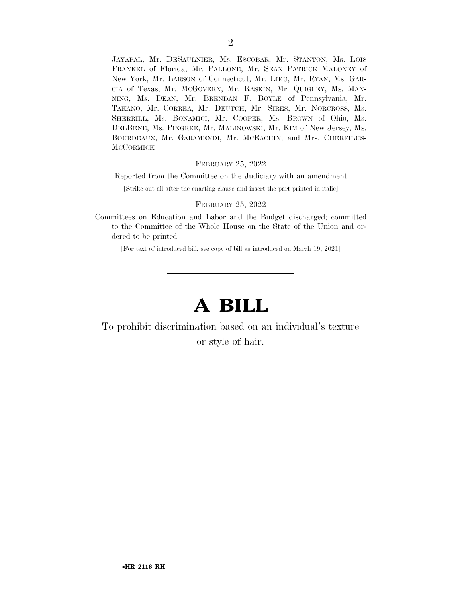JAYAPAL, Mr. DESAULNIER, Ms. ESCOBAR, Mr. STANTON, Ms. LOIS FRANKEL of Florida, Mr. PALLONE, Mr. SEAN PATRICK MALONEY of New York, Mr. LARSON of Connecticut, Mr. LIEU, Mr. RYAN, Ms. GAR-CIA of Texas, Mr. MCGOVERN, Mr. RASKIN, Mr. QUIGLEY, Ms. MAN-NING, Ms. DEAN, Mr. BRENDAN F. BOYLE of Pennsylvania, Mr. TAKANO, Mr. CORREA, Mr. DEUTCH, Mr. SIRES, Mr. NORCROSS, Ms. SHERRILL, Ms. BONAMICI, Mr. COOPER, Ms. BROWN of Ohio, Ms. DELBENE, Ms. PINGREE, Mr. MALINOWSKI, Mr. KIM of New Jersey, Ms. BOURDEAUX, Mr. GARAMENDI, Mr. MCEACHIN, and Mrs. CHERFILUS-**MCCORMICK** 

#### FEBRUARY 25, 2022

Reported from the Committee on the Judiciary with an amendment

[Strike out all after the enacting clause and insert the part printed in italic]

#### FEBRUARY 25, 2022

Committees on Education and Labor and the Budget discharged; committed to the Committee of the Whole House on the State of the Union and ordered to be printed

[For text of introduced bill, see copy of bill as introduced on March 19, 2021]

# **A BILL**

To prohibit discrimination based on an individual's texture or style of hair.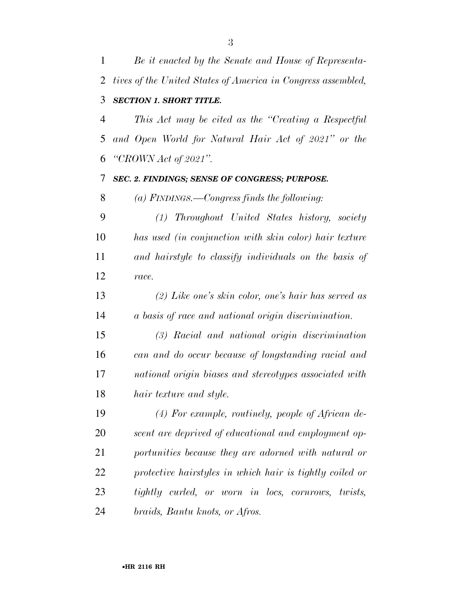*Be it enacted by the Senate and House of Representa- tives of the United States of America in Congress assembled, SECTION 1. SHORT TITLE. This Act may be cited as the ''Creating a Respectful and Open World for Natural Hair Act of 2021'' or the ''CROWN Act of 2021''. SEC. 2. FINDINGS; SENSE OF CONGRESS; PURPOSE. (a) FINDINGS.—Congress finds the following: (1) Throughout United States history, society has used (in conjunction with skin color) hair texture and hairstyle to classify individuals on the basis of race. (2) Like one's skin color, one's hair has served as a basis of race and national origin discrimination. (3) Racial and national origin discrimination can and do occur because of longstanding racial and national origin biases and stereotypes associated with hair texture and style. (4) For example, routinely, people of African de- scent are deprived of educational and employment op- portunities because they are adorned with natural or protective hairstyles in which hair is tightly coiled or tightly curled, or worn in locs, cornrows, twists, braids, Bantu knots, or Afros.*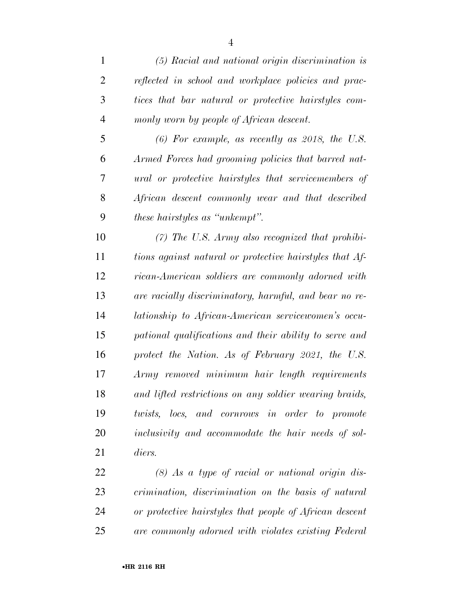| $\mathbf{1}$   | $(5)$ Racial and national origin discrimination is      |
|----------------|---------------------------------------------------------|
| $\overline{2}$ | reflected in school and workplace policies and prac-    |
| 3              | tices that bar natural or protective hairstyles com-    |
| $\overline{4}$ | monly worn by people of African descent.                |
| 5              | $(6)$ For example, as recently as 2018, the U.S.        |
| 6              | Armed Forces had grooming policies that barred nat-     |
| 7              | ural or protective hairstyles that servicemembers of    |
| 8              | African descent commonly wear and that described        |
| 9              | <i>these hairstyles as "unkempt".</i>                   |
| 10             | $(7)$ The U.S. Army also recognized that prohibi-       |
| 11             | tions against natural or protective hairstyles that Af- |
| 12             | rican-American soldiers are commonly adorned with       |
| 13             | are racially discriminatory, harmful, and bear no re-   |
| 14             | lationship to African-American servicewomen's occu-     |
| 15             | pational qualifications and their ability to serve and  |
| 16             | protect the Nation. As of February 2021, the U.S.       |
| 17             | Army removed minimum hair length requirements           |
| 18             | and lifted restrictions on any soldier wearing braids,  |
| 19             | twists, locs, and cornrows in order to promote          |
| 20             | inclusivity and accommodate the hair needs of sol-      |
| 21             | diers.                                                  |
| 22             | $(8)$ As a tupe of racial or national origin dis-       |

 *(8) As a type of racial or national origin dis- crimination, discrimination on the basis of natural or protective hairstyles that people of African descent are commonly adorned with violates existing Federal*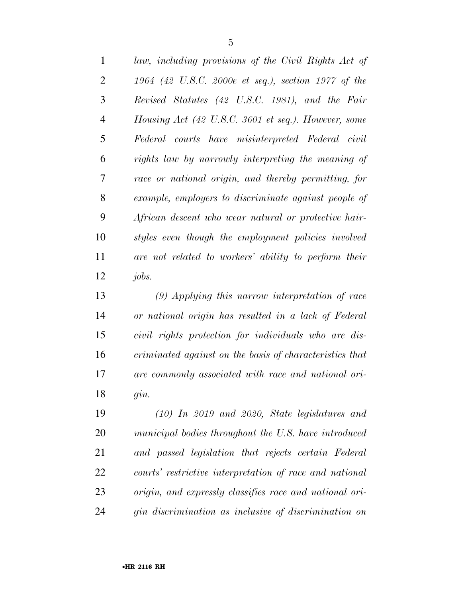| $\mathbf{1}$   | law, including provisions of the Civil Rights Act of |
|----------------|------------------------------------------------------|
| $\overline{2}$ | 1964 (42 U.S.C. 2000e et seq.), section 1977 of the  |
| 3              | Revised Statutes (42 U.S.C. 1981), and the Fair      |
| $\overline{4}$ | Housing Act (42 U.S.C. 3601 et seq.). However, some  |
| 5              | Federal courts have misinterpreted Federal civil     |
| 6              | rights law by narrowly interpreting the meaning of   |
| 7              | race or national origin, and thereby permitting, for |
| 8              | example, employers to discriminate against people of |
| 9              | African descent who wear natural or protective hair- |
| 10             | styles even though the employment policies involved  |
| 11             | are not related to workers' ability to perform their |
| 12             | <i>jobs.</i>                                         |

 *(9) Applying this narrow interpretation of race or national origin has resulted in a lack of Federal civil rights protection for individuals who are dis- criminated against on the basis of characteristics that are commonly associated with race and national ori-gin.* 

 *(10) In 2019 and 2020, State legislatures and municipal bodies throughout the U.S. have introduced and passed legislation that rejects certain Federal courts' restrictive interpretation of race and national origin, and expressly classifies race and national ori-gin discrimination as inclusive of discrimination on*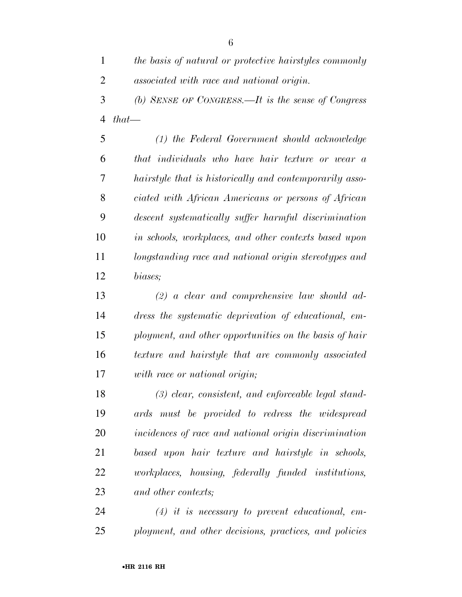| $\mathbf{1}$   | the basis of natural or protective hairstyles commonly |
|----------------|--------------------------------------------------------|
| $\overline{2}$ | associated with race and national origin.              |
| 3              | (b) SENSE OF CONGRESS.—It is the sense of Congress     |
|                | 4 that—                                                |
| 5              | (1) the Federal Government should acknowledge          |
| 6              | that individuals who have hair texture or wear a       |
|                |                                                        |

 *hairstyle that is historically and contemporarily asso- ciated with African Americans or persons of African descent systematically suffer harmful discrimination in schools, workplaces, and other contexts based upon longstanding race and national origin stereotypes and biases;* 

 *(2) a clear and comprehensive law should ad- dress the systematic deprivation of educational, em- ployment, and other opportunities on the basis of hair texture and hairstyle that are commonly associated with race or national origin;* 

 *(3) clear, consistent, and enforceable legal stand- ards must be provided to redress the widespread incidences of race and national origin discrimination based upon hair texture and hairstyle in schools, workplaces, housing, federally funded institutions, and other contexts;* 

 *(4) it is necessary to prevent educational, em-ployment, and other decisions, practices, and policies*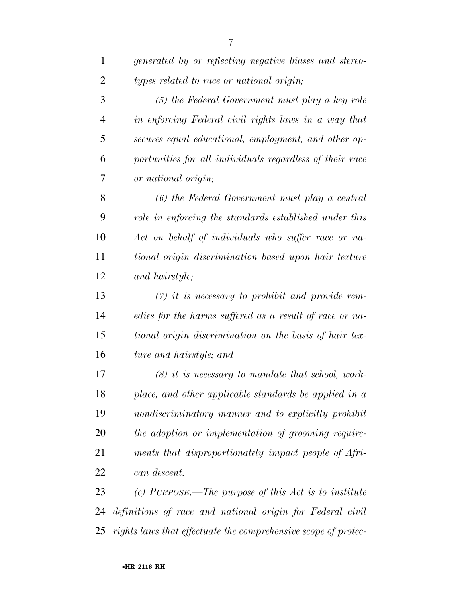| $\mathbf{1}$   | generated by or reflecting negative biases and stereo-    |
|----------------|-----------------------------------------------------------|
| 2              | types related to race or national origin;                 |
| 3              | (5) the Federal Government must play a key role           |
| $\overline{4}$ | in enforcing Federal civil rights laws in a way that      |
| 5              | secures equal educational, employment, and other op-      |
| 6              | portunities for all individuals regardless of their race  |
| 7              | or national origin;                                       |
| 8              | (6) the Federal Government must play a central            |
| 9              | role in enforcing the standards established under this    |
| 10             | Act on behalf of individuals who suffer race or na-       |
| 11             | tional origin discrimination based upon hair texture      |
| 12             | and hairstyle;                                            |
| 13             | $(7)$ it is necessary to prohibit and provide rem-        |
| 14             | edies for the harms suffered as a result of race or na-   |
| 15             | tional origin discrimination on the basis of hair tex-    |
| 16             | ture and hairstyle; and                                   |
| 17             | $(8)$ it is necessary to mandate that school, work-       |
| 18             | place, and other applicable standards be applied in a     |
| 19             | nondiscriminatory manner and to explicitly prohibit       |
| 20             | the adoption or implementation of grooming require-       |
| 21             | ments that disproportionately impact people of Afri-      |
| 22             | can descent.                                              |
| 23             | (c) PURPOSE.—The purpose of this Act is to institute      |
| 24             | definitions of race and national origin for Federal civil |

*rights laws that effectuate the comprehensive scope of protec-*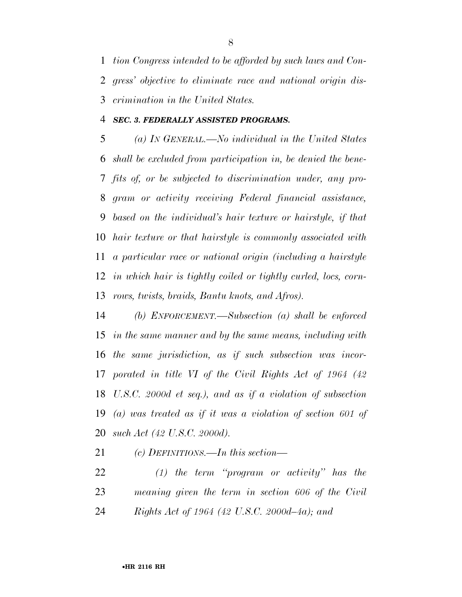*tion Congress intended to be afforded by such laws and Con- gress' objective to eliminate race and national origin dis-crimination in the United States.* 

#### *SEC. 3. FEDERALLY ASSISTED PROGRAMS.*

 *(a) IN GENERAL.—No individual in the United States shall be excluded from participation in, be denied the bene- fits of, or be subjected to discrimination under, any pro- gram or activity receiving Federal financial assistance, based on the individual's hair texture or hairstyle, if that hair texture or that hairstyle is commonly associated with a particular race or national origin (including a hairstyle in which hair is tightly coiled or tightly curled, locs, corn-rows, twists, braids, Bantu knots, and Afros).* 

 *(b) ENFORCEMENT.—Subsection (a) shall be enforced in the same manner and by the same means, including with the same jurisdiction, as if such subsection was incor- porated in title VI of the Civil Rights Act of 1964 (42 U.S.C. 2000d et seq.), and as if a violation of subsection (a) was treated as if it was a violation of section 601 of such Act (42 U.S.C. 2000d).* 

*(c) DEFINITIONS.—In this section—* 

 *(1) the term ''program or activity'' has the meaning given the term in section 606 of the Civil Rights Act of 1964 (42 U.S.C. 2000d–4a); and*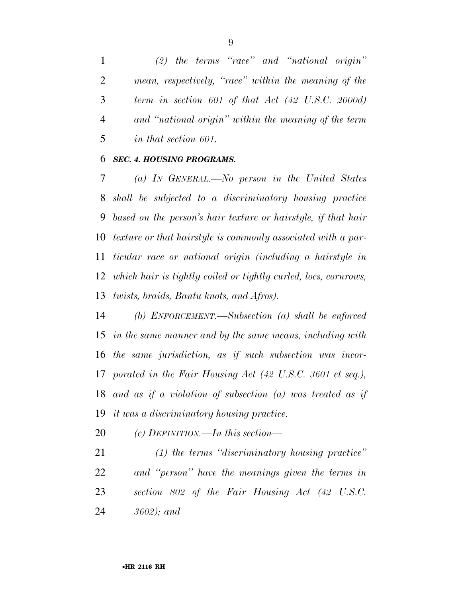*(2) the terms ''race'' and ''national origin'' mean, respectively, ''race'' within the meaning of the term in section 601 of that Act (42 U.S.C. 2000d) and ''national origin'' within the meaning of the term in that section 601.* 

#### *SEC. 4. HOUSING PROGRAMS.*

 *(a) IN GENERAL.—No person in the United States shall be subjected to a discriminatory housing practice based on the person's hair texture or hairstyle, if that hair texture or that hairstyle is commonly associated with a par- ticular race or national origin (including a hairstyle in which hair is tightly coiled or tightly curled, locs, cornrows, twists, braids, Bantu knots, and Afros).* 

 *(b) ENFORCEMENT.—Subsection (a) shall be enforced in the same manner and by the same means, including with the same jurisdiction, as if such subsection was incor- porated in the Fair Housing Act (42 U.S.C. 3601 et seq.), and as if a violation of subsection (a) was treated as if it was a discriminatory housing practice.* 

*(c) DEFINITION.—In this section—* 

 *(1) the terms ''discriminatory housing practice'' and ''person'' have the meanings given the terms in section 802 of the Fair Housing Act (42 U.S.C. 3602); and*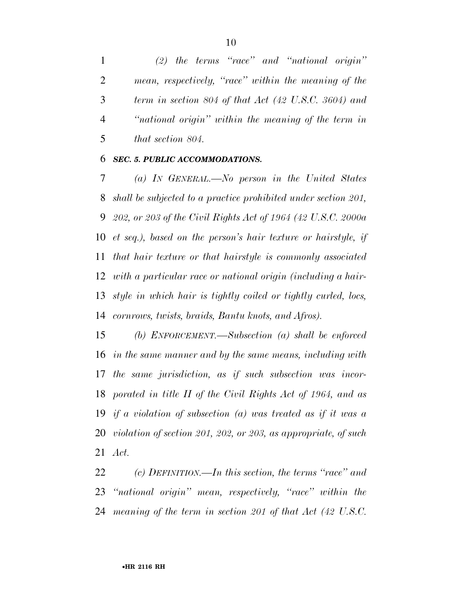*(2) the terms ''race'' and ''national origin'' mean, respectively, ''race'' within the meaning of the term in section 804 of that Act (42 U.S.C. 3604) and ''national origin'' within the meaning of the term in that section 804.* 

#### *SEC. 5. PUBLIC ACCOMMODATIONS.*

 *(a) IN GENERAL.—No person in the United States shall be subjected to a practice prohibited under section 201, 202, or 203 of the Civil Rights Act of 1964 (42 U.S.C. 2000a et seq.), based on the person's hair texture or hairstyle, if that hair texture or that hairstyle is commonly associated with a particular race or national origin (including a hair- style in which hair is tightly coiled or tightly curled, locs, cornrows, twists, braids, Bantu knots, and Afros).* 

 *(b) ENFORCEMENT.—Subsection (a) shall be enforced in the same manner and by the same means, including with the same jurisdiction, as if such subsection was incor- porated in title II of the Civil Rights Act of 1964, and as if a violation of subsection (a) was treated as if it was a violation of section 201, 202, or 203, as appropriate, of such Act.* 

 *(c) DEFINITION.—In this section, the terms ''race'' and ''national origin'' mean, respectively, ''race'' within the meaning of the term in section 201 of that Act (42 U.S.C.*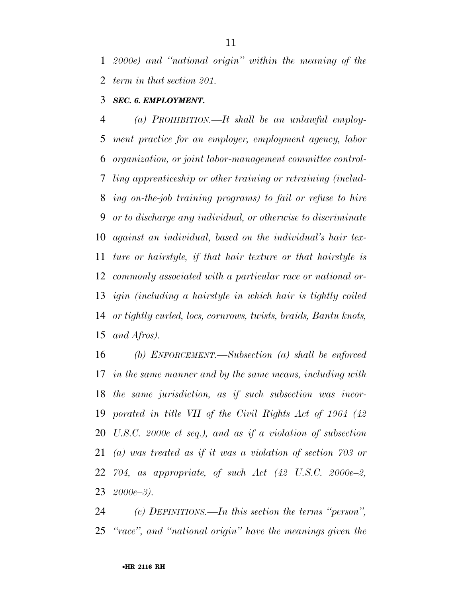*2000e) and ''national origin'' within the meaning of the term in that section 201.* 

## *SEC. 6. EMPLOYMENT.*

 *(a) PROHIBITION.—It shall be an unlawful employ- ment practice for an employer, employment agency, labor organization, or joint labor-management committee control- ling apprenticeship or other training or retraining (includ- ing on-the-job training programs) to fail or refuse to hire or to discharge any individual, or otherwise to discriminate against an individual, based on the individual's hair tex- ture or hairstyle, if that hair texture or that hairstyle is commonly associated with a particular race or national or- igin (including a hairstyle in which hair is tightly coiled or tightly curled, locs, cornrows, twists, braids, Bantu knots, and Afros).* 

 *(b) ENFORCEMENT.—Subsection (a) shall be enforced in the same manner and by the same means, including with the same jurisdiction, as if such subsection was incor- porated in title VII of the Civil Rights Act of 1964 (42 U.S.C. 2000e et seq.), and as if a violation of subsection (a) was treated as if it was a violation of section 703 or 704, as appropriate, of such Act (42 U.S.C. 2000e–2, 2000e–3).* 

 *(c) DEFINITIONS.—In this section the terms ''person'', ''race'', and ''national origin'' have the meanings given the*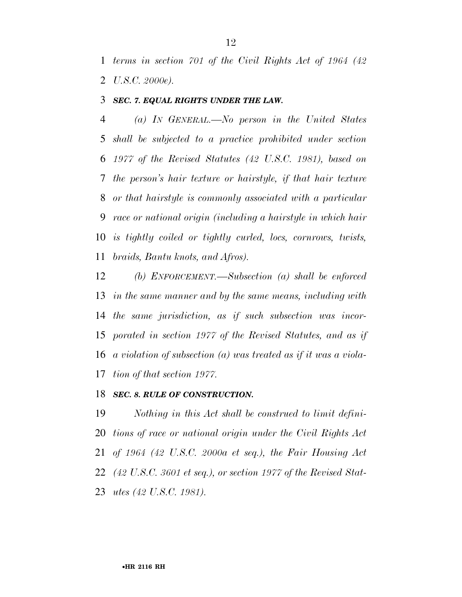*terms in section 701 of the Civil Rights Act of 1964 (42 U.S.C. 2000e).* 

#### *SEC. 7. EQUAL RIGHTS UNDER THE LAW.*

 *(a) IN GENERAL.—No person in the United States shall be subjected to a practice prohibited under section 1977 of the Revised Statutes (42 U.S.C. 1981), based on the person's hair texture or hairstyle, if that hair texture or that hairstyle is commonly associated with a particular race or national origin (including a hairstyle in which hair is tightly coiled or tightly curled, locs, cornrows, twists, braids, Bantu knots, and Afros).* 

 *(b) ENFORCEMENT.—Subsection (a) shall be enforced in the same manner and by the same means, including with the same jurisdiction, as if such subsection was incor- porated in section 1977 of the Revised Statutes, and as if a violation of subsection (a) was treated as if it was a viola-tion of that section 1977.* 

## *SEC. 8. RULE OF CONSTRUCTION.*

 *Nothing in this Act shall be construed to limit defini- tions of race or national origin under the Civil Rights Act of 1964 (42 U.S.C. 2000a et seq.), the Fair Housing Act (42 U.S.C. 3601 et seq.), or section 1977 of the Revised Stat-utes (42 U.S.C. 1981).*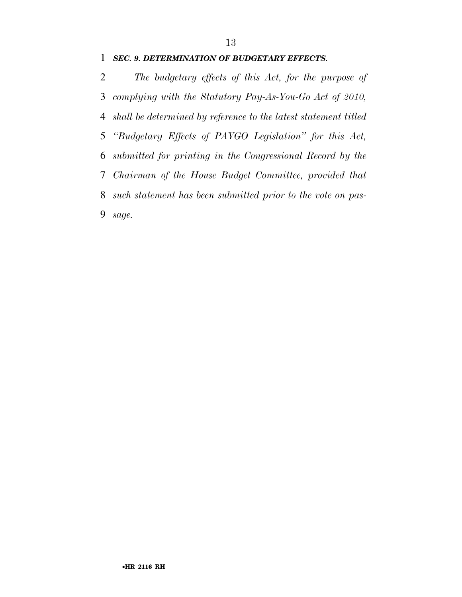#### *SEC. 9. DETERMINATION OF BUDGETARY EFFECTS.*

 *The budgetary effects of this Act, for the purpose of complying with the Statutory Pay-As-You-Go Act of 2010, shall be determined by reference to the latest statement titled ''Budgetary Effects of PAYGO Legislation'' for this Act, submitted for printing in the Congressional Record by the Chairman of the House Budget Committee, provided that such statement has been submitted prior to the vote on pas-sage.*